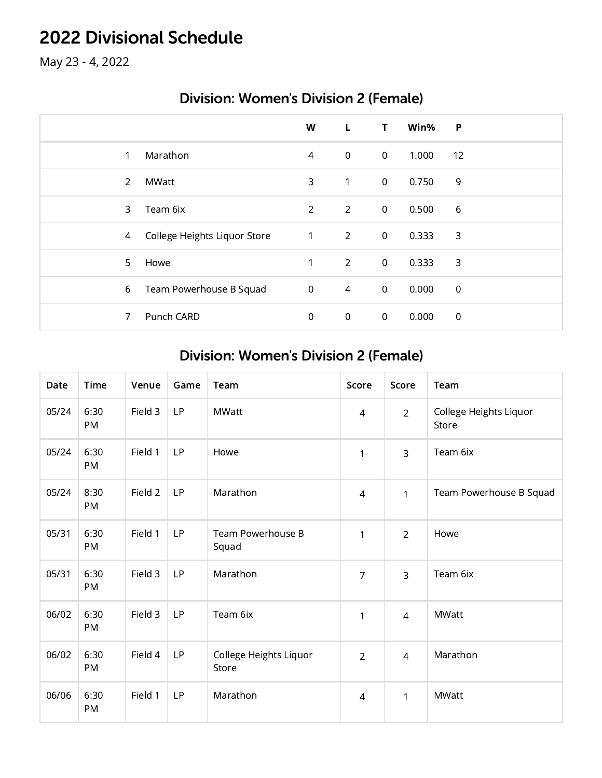# 2022 Divisional Schedule

May 23 - 4, 2022

# W L T Win% P 1 Marathon 4 0 0 1.000 12 2 MWatt 3 1 0 0.750 9 3 Team 6ix 2 2 0 0.500 6 4 College Heights Liquor Store 1 2 0 0.333 3 5 Howe 1 2 0 0.333 3 6 Team Powerhouse B Squad 0 4 0 0.000 0 7 Punch CARD 0 0 0 0.000 0

#### Division: Women's Division 2 (Female)

#### Division: Women's Division 2 (Female)

| Date  | Time              | Venue   | Game      | Team                            | Score          | Score          | Team                            |
|-------|-------------------|---------|-----------|---------------------------------|----------------|----------------|---------------------------------|
| 05/24 | 6:30<br><b>PM</b> | Field 3 | LP        | <b>MWatt</b>                    | $\overline{4}$ | $\overline{2}$ | College Heights Liquor<br>Store |
| 05/24 | 6:30<br>PM        | Field 1 | LP        | Howe                            | 1              | 3              | Team 6ix                        |
| 05/24 | 8:30<br>PM        | Field 2 | <b>LP</b> | Marathon                        | $\overline{4}$ | 1              | Team Powerhouse B Squad         |
| 05/31 | 6:30<br><b>PM</b> | Field 1 | <b>LP</b> | Team Powerhouse B<br>Squad      | $\mathbf{1}$   | $\overline{2}$ | Howe                            |
| 05/31 | 6:30<br>PM        | Field 3 | LP        | Marathon                        | 7              | 3              | Team 6ix                        |
| 06/02 | 6:30<br>PM        | Field 3 | <b>LP</b> | Team 6ix                        | 1              | $\overline{4}$ | MWatt                           |
| 06/02 | 6:30<br>PM        | Field 4 | LP        | College Heights Liquor<br>Store | $\overline{2}$ | $\overline{4}$ | Marathon                        |
| 06/06 | 6:30<br>PM        | Field 1 | LP        | Marathon                        | $\overline{4}$ | 1              | <b>MWatt</b>                    |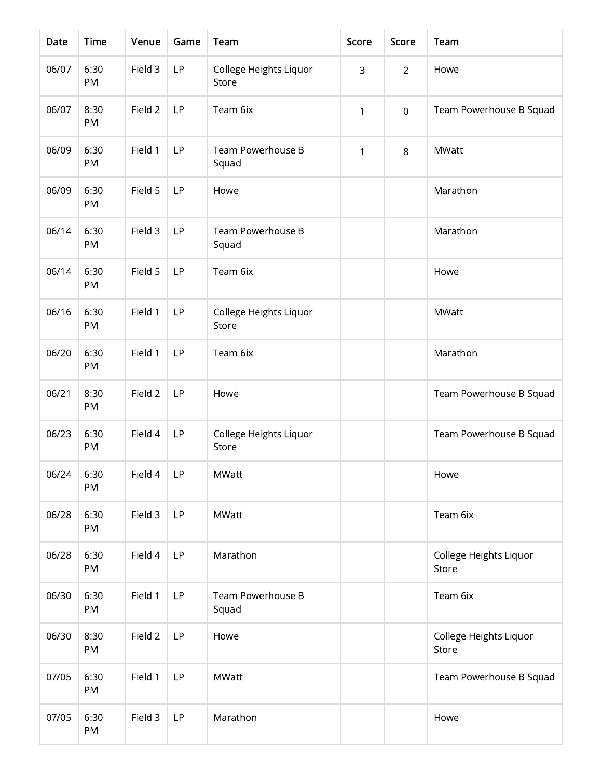| Date  | Time       | Venue   | Game      | Team<br>Score<br>Score          |   | Team                    |                                 |
|-------|------------|---------|-----------|---------------------------------|---|-------------------------|---------------------------------|
| 06/07 | 6:30<br>PM | Field 3 | LP        | College Heights Liquor<br>Store | 3 |                         | Howe                            |
| 06/07 | 8:30<br>PM | Field 2 | LP        | Team 6ix<br>1                   |   | $\boldsymbol{0}$        | Team Powerhouse B Squad         |
| 06/09 | 6:30<br>PM | Field 1 | LP        | Team Powerhouse B<br>1<br>Squad |   | 8                       | <b>MWatt</b>                    |
| 06/09 | 6:30<br>PM | Field 5 | LP        | Howe                            |   |                         | Marathon                        |
| 06/14 | 6:30<br>PM | Field 3 | LP        | Team Powerhouse B<br>Squad      |   |                         | Marathon                        |
| 06/14 | 6:30<br>PM | Field 5 | LP        | Team 6ix                        |   |                         | Howe                            |
| 06/16 | 6:30<br>PM | Field 1 | LP        | College Heights Liquor<br>Store |   |                         | <b>MWatt</b>                    |
| 06/20 | 6:30<br>PM | Field 1 | <b>LP</b> | Team 6ix                        |   | Marathon                |                                 |
| 06/21 | 8:30<br>PM | Field 2 | LP        | Howe                            |   |                         | Team Powerhouse B Squad         |
| 06/23 | 6:30<br>PM | Field 4 | LP        | College Heights Liquor<br>Store |   |                         | Team Powerhouse B Squad         |
| 06/24 | 6:30<br>PM | Field 4 | LP        | <b>MWatt</b>                    |   |                         | Howe                            |
| 06/28 | 6:30<br>PM | Field 3 | LP        | <b>MWatt</b>                    |   |                         | Team 6ix                        |
| 06/28 | 6:30<br>PM | Field 4 | LP        | Marathon                        |   |                         | College Heights Liquor<br>Store |
| 06/30 | 6:30<br>PM | Field 1 | LP        | Team Powerhouse B<br>Squad      |   |                         | Team 6ix                        |
| 06/30 | 8:30<br>PM | Field 2 | LP        | Howe                            |   |                         | College Heights Liquor<br>Store |
| 07/05 | 6:30<br>PM | Field 1 | LP        | <b>MWatt</b>                    |   | Team Powerhouse B Squad |                                 |
| 07/05 | 6:30<br>PM | Field 3 | LP        | Marathon                        |   |                         | Howe                            |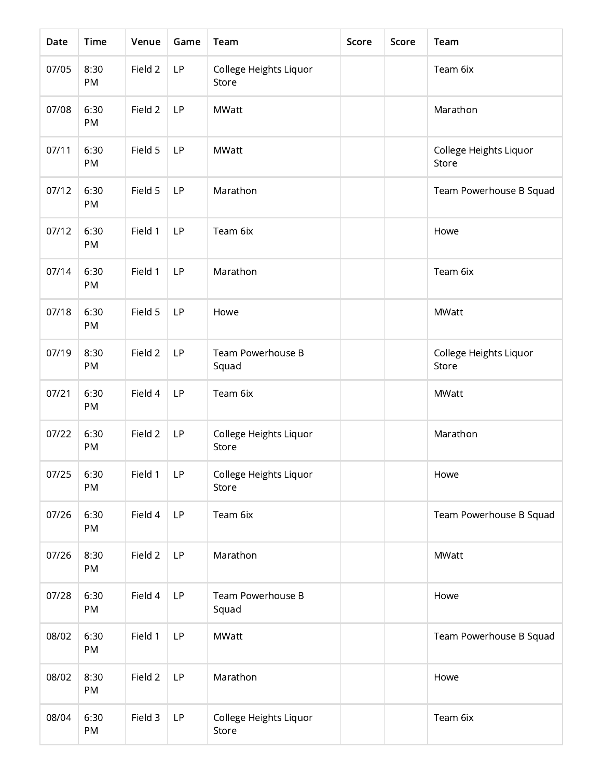| Date  | Time       | Venue   | Game      | Team                            | Score<br>Score |                                 | Team                            |
|-------|------------|---------|-----------|---------------------------------|----------------|---------------------------------|---------------------------------|
| 07/05 | 8:30<br>PM | Field 2 | LP        | College Heights Liquor<br>Store | Team 6ix       |                                 |                                 |
| 07/08 | 6:30<br>PM | Field 2 | LP        | MWatt                           |                | Marathon                        |                                 |
| 07/11 | 6:30<br>PM | Field 5 | LP        | <b>MWatt</b>                    |                |                                 | College Heights Liquor<br>Store |
| 07/12 | 6:30<br>PM | Field 5 | LP        | Marathon                        |                |                                 | Team Powerhouse B Squad         |
| 07/12 | 6:30<br>PM | Field 1 | <b>LP</b> | Team 6ix                        |                |                                 | Howe                            |
| 07/14 | 6:30<br>PM | Field 1 | <b>LP</b> | Marathon                        |                |                                 | Team 6ix                        |
| 07/18 | 6:30<br>PM | Field 5 | <b>LP</b> | Howe                            |                |                                 | <b>MWatt</b>                    |
| 07/19 | 8:30<br>PM | Field 2 | LP        | Team Powerhouse B<br>Squad      |                | College Heights Liquor<br>Store |                                 |
| 07/21 | 6:30<br>PM | Field 4 | LP        | Team 6ix                        |                |                                 | MWatt                           |
| 07/22 | 6:30<br>PM | Field 2 | LP        | College Heights Liquor<br>Store |                |                                 | Marathon                        |
| 07/25 | 6:30<br>PM | Field 1 | LP        | College Heights Liquor<br>Store |                |                                 | Howe                            |
| 07/26 | 6:30<br>PM | Field 4 | LP        | Team 6ix                        |                |                                 | Team Powerhouse B Squad         |
| 07/26 | 8:30<br>PM | Field 2 | LP        | Marathon                        |                |                                 | MWatt                           |
| 07/28 | 6:30<br>PM | Field 4 | LP        | Team Powerhouse B<br>Squad      |                |                                 | Howe                            |
| 08/02 | 6:30<br>PM | Field 1 | LP        | MWatt                           |                | Team Powerhouse B Squad         |                                 |
| 08/02 | 8:30<br>PM | Field 2 | LP        | Marathon<br>Howe                |                |                                 |                                 |
| 08/04 | 6:30<br>PM | Field 3 | LP        | College Heights Liquor<br>Store |                |                                 | Team 6ix                        |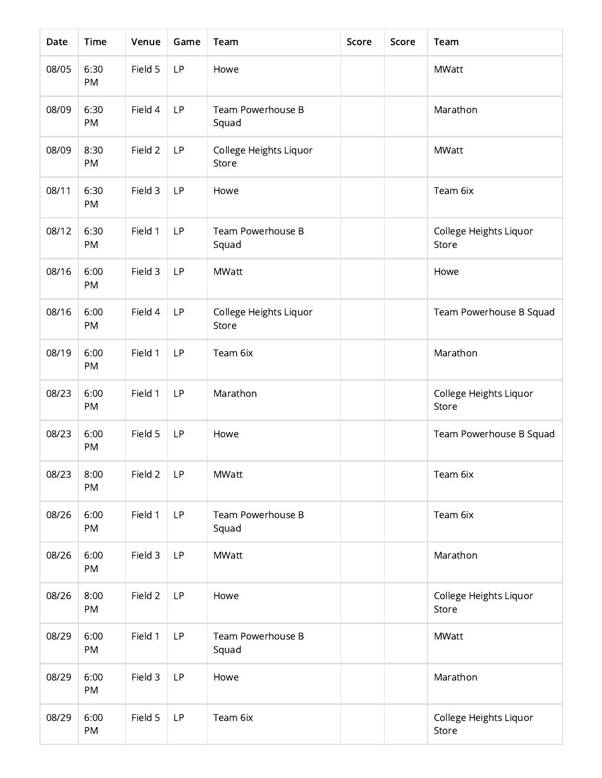| Date  | <b>Time</b> | Venue   | Game      | Team                            | Score<br>Score |              | Team                            |
|-------|-------------|---------|-----------|---------------------------------|----------------|--------------|---------------------------------|
| 08/05 | 6:30<br>PM  | Field 5 | LP        | Howe                            |                |              | <b>MWatt</b>                    |
| 08/09 | 6:30<br>PM  | Field 4 | <b>LP</b> | Team Powerhouse B<br>Squad      |                | Marathon     |                                 |
| 08/09 | 8:30<br>PM  | Field 2 | LP        | College Heights Liquor<br>Store |                | <b>MWatt</b> |                                 |
| 08/11 | 6:30<br>PM  | Field 3 | LP        | Howe                            |                |              | Team 6ix                        |
| 08/12 | 6:30<br>PM  | Field 1 | LP        | Team Powerhouse B<br>Squad      |                |              | College Heights Liquor<br>Store |
| 08/16 | 6:00<br>PM  | Field 3 | LP        | <b>MWatt</b>                    |                |              | Howe                            |
| 08/16 | 6:00<br>PM  | Field 4 | LP        | College Heights Liquor<br>Store |                |              | Team Powerhouse B Squad         |
| 08/19 | 6:00<br>PM  | Field 1 | LP        | Team 6ix                        |                | Marathon     |                                 |
| 08/23 | 6:00<br>PM  | Field 1 | LP        | Marathon                        |                |              | College Heights Liquor<br>Store |
| 08/23 | 6:00<br>PM  | Field 5 | LP        | Howe                            |                |              | Team Powerhouse B Squad         |
| 08/23 | 8:00<br>PM  | Field 2 | LP        | MWatt                           |                |              | Team 6ix                        |
| 08/26 | 6:00<br>PM  | Field 1 | LP        | Team Powerhouse B<br>Squad      |                |              | Team 6ix                        |
| 08/26 | 6:00<br>PM  | Field 3 | LP        | <b>MWatt</b>                    |                |              | Marathon                        |
| 08/26 | 8:00<br>PM  | Field 2 | LP        | Howe                            |                |              | College Heights Liquor<br>Store |
| 08/29 | 6:00<br>PM  | Field 1 | LP        | Team Powerhouse B<br>Squad      |                |              | MWatt                           |
| 08/29 | 6:00<br>PM  | Field 3 | LP        | Howe                            |                | Marathon     |                                 |
| 08/29 | 6:00<br>PM  | Field 5 | LP        | Team 6ix                        |                |              | College Heights Liquor<br>Store |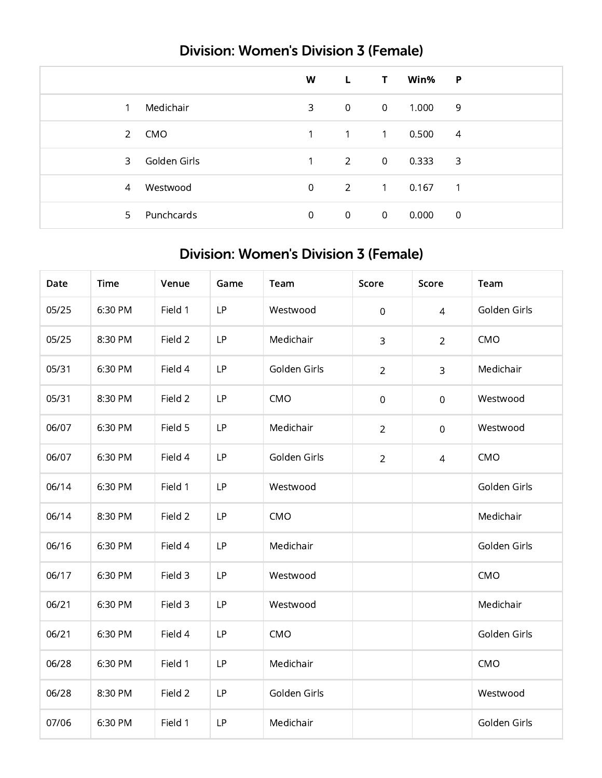|                |              | W                      | L.                      | $\mathbf{T}$   | Win%  | P              |
|----------------|--------------|------------------------|-------------------------|----------------|-------|----------------|
| 1              | Medichair    | 3 <sup>7</sup>         | $\overline{0}$          | $\overline{0}$ | 1.000 | 9              |
| $\overline{2}$ | CMO          | $1 \quad \blacksquare$ | $\overline{1}$          | $\overline{1}$ | 0.500 | 4              |
| 3              | Golden Girls | $\mathbf 1$            | $\overline{2}$          | $\overline{0}$ | 0.333 | 3              |
| $\overline{4}$ | Westwood     | $\mathbf 0$            | $\overline{\mathbf{c}}$ | $\overline{1}$ | 0.167 | $\overline{1}$ |
| 5.             | Punchcards   | $\mathbf 0$            | $\overline{0}$          | $\overline{0}$ | 0.000 | $\overline{0}$ |
|                |              |                        |                         |                |       |                |

#### Division: Women's Division 3 (Female)

### Division: Women's Division 3 (Female)

| Date  | <b>Time</b> | Venue   | Game      | Team         | Score            | Score            | Team         |
|-------|-------------|---------|-----------|--------------|------------------|------------------|--------------|
| 05/25 | 6:30 PM     | Field 1 | LP        | Westwood     | $\boldsymbol{0}$ | $\overline{4}$   | Golden Girls |
| 05/25 | 8:30 PM     | Field 2 | <b>LP</b> | Medichair    | 3                | $2^{\circ}$      | <b>CMO</b>   |
| 05/31 | 6:30 PM     | Field 4 | <b>LP</b> | Golden Girls | $\overline{2}$   | $\overline{3}$   | Medichair    |
| 05/31 | 8:30 PM     | Field 2 | <b>LP</b> | CMO          | $\boldsymbol{0}$ | $\boldsymbol{0}$ | Westwood     |
| 06/07 | 6:30 PM     | Field 5 | <b>LP</b> | Medichair    | $\overline{2}$   | $\boldsymbol{0}$ | Westwood     |
| 06/07 | 6:30 PM     | Field 4 | <b>LP</b> | Golden Girls | $\overline{2}$   | $\overline{4}$   | CMO          |
| 06/14 | 6:30 PM     | Field 1 | LP        | Westwood     |                  |                  | Golden Girls |
| 06/14 | 8:30 PM     | Field 2 | LP        | CMO          |                  |                  | Medichair    |
| 06/16 | 6:30 PM     | Field 4 | <b>LP</b> | Medichair    |                  |                  | Golden Girls |
| 06/17 | 6:30 PM     | Field 3 | <b>LP</b> | Westwood     |                  |                  | CMO          |
| 06/21 | 6:30 PM     | Field 3 | <b>LP</b> | Westwood     |                  |                  | Medichair    |
| 06/21 | 6:30 PM     | Field 4 | LP        | CMO          |                  |                  | Golden Girls |
| 06/28 | 6:30 PM     | Field 1 | LP        | Medichair    |                  |                  | CMO          |
| 06/28 | 8:30 PM     | Field 2 | LP        | Golden Girls |                  |                  | Westwood     |
| 07/06 | 6:30 PM     | Field 1 | <b>LP</b> | Medichair    |                  |                  | Golden Girls |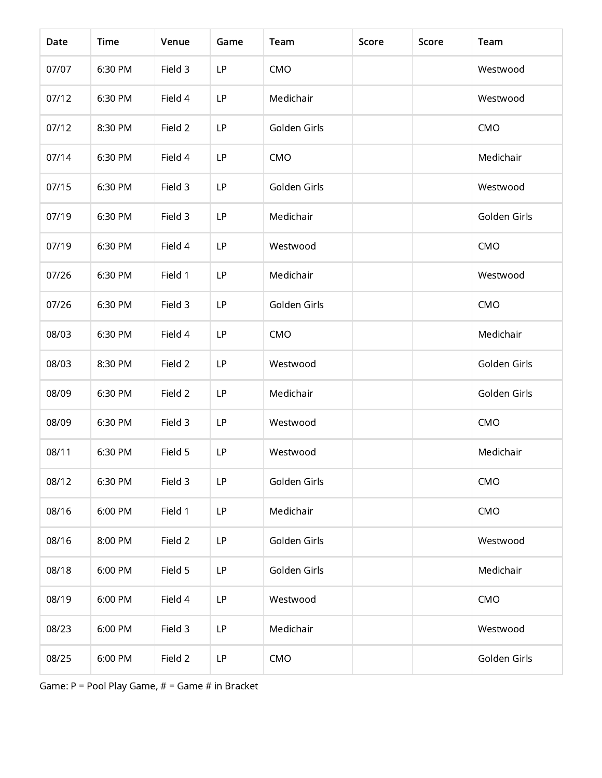| Date  | Time    | Venue   | Game | Team         | Score | Score | Team         |
|-------|---------|---------|------|--------------|-------|-------|--------------|
| 07/07 | 6:30 PM | Field 3 | LP   | CMO          |       |       | Westwood     |
| 07/12 | 6:30 PM | Field 4 | LP   | Medichair    |       |       | Westwood     |
| 07/12 | 8:30 PM | Field 2 | LP   | Golden Girls |       |       | CMO          |
| 07/14 | 6:30 PM | Field 4 | LP   | CMO          |       |       | Medichair    |
| 07/15 | 6:30 PM | Field 3 | LP   | Golden Girls |       |       | Westwood     |
| 07/19 | 6:30 PM | Field 3 | LP   | Medichair    |       |       | Golden Girls |
| 07/19 | 6:30 PM | Field 4 | LP   | Westwood     |       |       | CMO          |
| 07/26 | 6:30 PM | Field 1 | LP   | Medichair    |       |       | Westwood     |
| 07/26 | 6:30 PM | Field 3 | LP   | Golden Girls |       |       | CMO          |
| 08/03 | 6:30 PM | Field 4 | LP   | CMO          |       |       | Medichair    |
| 08/03 | 8:30 PM | Field 2 | LP   | Westwood     |       |       | Golden Girls |
| 08/09 | 6:30 PM | Field 2 | LP   | Medichair    |       |       | Golden Girls |
| 08/09 | 6:30 PM | Field 3 | LP   | Westwood     |       |       | CMO          |
| 08/11 | 6:30 PM | Field 5 | LP   | Westwood     |       |       | Medichair    |
| 08/12 | 6:30 PM | Field 3 | LP   | Golden Girls |       |       | CMO          |
| 08/16 | 6:00 PM | Field 1 | LP   | Medichair    |       |       | CMO          |
| 08/16 | 8:00 PM | Field 2 | LP   | Golden Girls |       |       | Westwood     |
| 08/18 | 6:00 PM | Field 5 | LP   | Golden Girls |       |       | Medichair    |
| 08/19 | 6:00 PM | Field 4 | LP   | Westwood     |       |       | CMO          |
| 08/23 | 6:00 PM | Field 3 | LP   | Medichair    |       |       | Westwood     |
| 08/25 | 6:00 PM | Field 2 | LP   | CMO          |       |       | Golden Girls |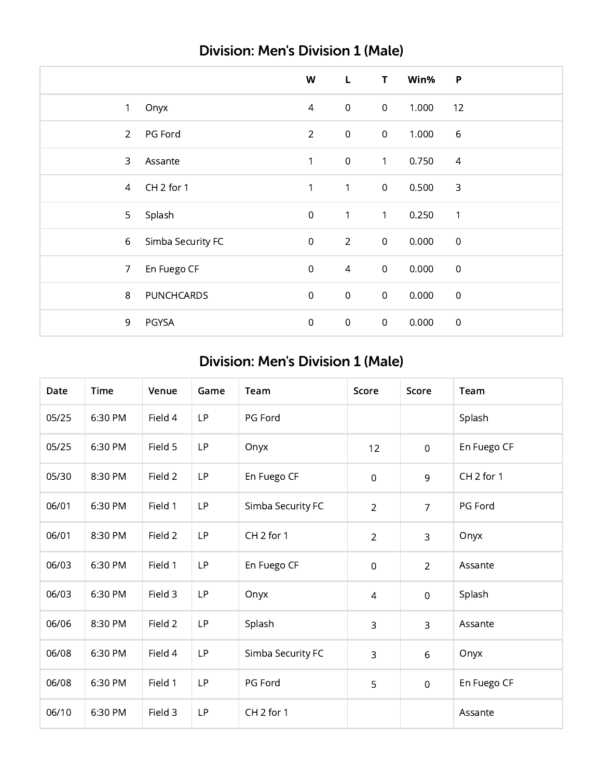|                |                       | W                   | L.               | T                | Win%  | $\, {\bf P}$   |
|----------------|-----------------------|---------------------|------------------|------------------|-------|----------------|
| $\mathbf{1}$   | Onyx                  | $\overline{4}$      | $\mathsf{O}$     | $\boldsymbol{0}$ | 1.000 | 12             |
| $2^{\circ}$    | PG Ford               | $2^{\circ}$         | $\,0\,$          | $\boldsymbol{0}$ | 1.000 | $\sqrt{6}$     |
| 3              | Assante               | $\mathbf{1}$        | $\,0\,$          | $\mathbf{1}$     | 0.750 | $\overline{4}$ |
| $\overline{4}$ | CH <sub>2</sub> for 1 | $\mathbf{1}$        | $\mathbf 1$      | $\boldsymbol{0}$ | 0.500 | $\mathsf{3}$   |
| 5              | Splash                | $\,0\,$             | $\mathbf{1}$     | $\mathbf{1}$     | 0.250 | $\overline{1}$ |
| 6              | Simba Security FC     | $\mathsf{O}\xspace$ | $2^{\circ}$      | $\boldsymbol{0}$ | 0.000 | $\,0\,$        |
| $\overline{7}$ | En Fuego CF           | $\mathsf{O}\xspace$ | $\overline{4}$   | $\boldsymbol{0}$ | 0.000 | $\,0\,$        |
| 8              | <b>PUNCHCARDS</b>     | $\boldsymbol{0}$    | $\mathsf{O}$     | $\boldsymbol{0}$ | 0.000 | $\,0\,$        |
| 9              | PGYSA                 | $\boldsymbol{0}$    | $\boldsymbol{0}$ | $\boldsymbol{0}$ | 0.000 | $\overline{0}$ |

## Division: Men's Division 1 (Male)

## Division: Men's Division 1 (Male)

| Date  | Time    | Venue   | Game | Team                  | Score               | Score            | Team                  |
|-------|---------|---------|------|-----------------------|---------------------|------------------|-----------------------|
| 05/25 | 6:30 PM | Field 4 | LP   | PG Ford               |                     |                  | Splash                |
| 05/25 | 6:30 PM | Field 5 | LP   | Onyx                  | 12                  | $\overline{0}$   | En Fuego CF           |
| 05/30 | 8:30 PM | Field 2 | LP   | En Fuego CF           | $\mathsf{O}\xspace$ | 9                | CH <sub>2</sub> for 1 |
| 06/01 | 6:30 PM | Field 1 | LP.  | Simba Security FC     | $\overline{2}$      | $\overline{7}$   | PG Ford               |
| 06/01 | 8:30 PM | Field 2 | LP   | CH 2 for 1            | $\overline{2}$      | $\overline{3}$   | Onyx                  |
| 06/03 | 6:30 PM | Field 1 | LP   | En Fuego CF           | $\overline{0}$      | $\overline{2}$   | Assante               |
| 06/03 | 6:30 PM | Field 3 | LP   | Onyx                  | $\overline{4}$      | $\boldsymbol{0}$ | Splash                |
| 06/06 | 8:30 PM | Field 2 | LP   | Splash                | 3                   | $\overline{3}$   | Assante               |
| 06/08 | 6:30 PM | Field 4 | LP   | Simba Security FC     | $\overline{3}$      | 6                | Onyx                  |
| 06/08 | 6:30 PM | Field 1 | LP   | PG Ford               | 5                   | $\boldsymbol{0}$ | En Fuego CF           |
| 06/10 | 6:30 PM | Field 3 | LP   | CH <sub>2</sub> for 1 |                     |                  | Assante               |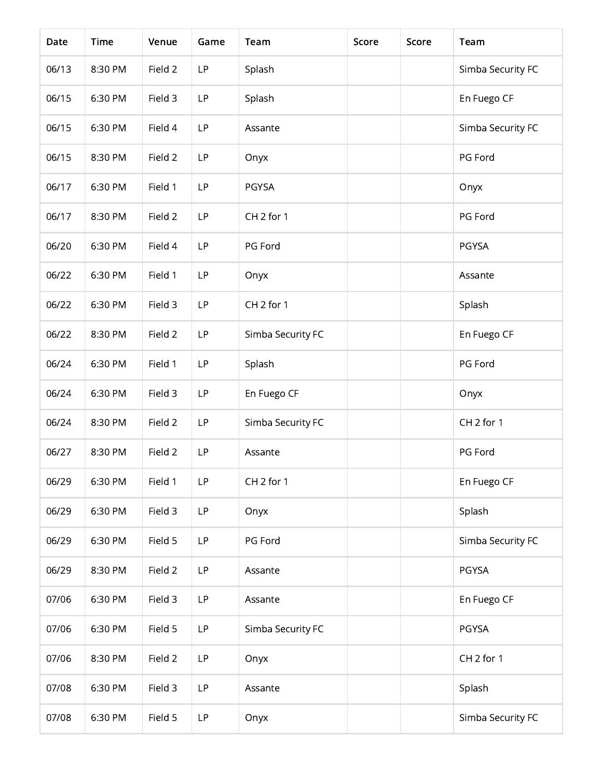| Date  | Time    | Venue   | Game | Team                  | Score | Score | Team                  |
|-------|---------|---------|------|-----------------------|-------|-------|-----------------------|
| 06/13 | 8:30 PM | Field 2 | LP   | Splash                |       |       | Simba Security FC     |
| 06/15 | 6:30 PM | Field 3 | LP   | Splash                |       |       | En Fuego CF           |
| 06/15 | 6:30 PM | Field 4 | LP   | Assante               |       |       | Simba Security FC     |
| 06/15 | 8:30 PM | Field 2 | LP   | Onyx                  |       |       | PG Ford               |
| 06/17 | 6:30 PM | Field 1 | LP   | PGYSA                 |       |       | Onyx                  |
| 06/17 | 8:30 PM | Field 2 | LP   | CH <sub>2</sub> for 1 |       |       | PG Ford               |
| 06/20 | 6:30 PM | Field 4 | LP   | PG Ford               |       |       | <b>PGYSA</b>          |
| 06/22 | 6:30 PM | Field 1 | LP   | Onyx                  |       |       | Assante               |
| 06/22 | 6:30 PM | Field 3 | LP   | CH <sub>2</sub> for 1 |       |       | Splash                |
| 06/22 | 8:30 PM | Field 2 | LP   | Simba Security FC     |       |       | En Fuego CF           |
| 06/24 | 6:30 PM | Field 1 | LP   | Splash                |       |       | PG Ford               |
| 06/24 | 6:30 PM | Field 3 | LP   | En Fuego CF           |       |       | Onyx                  |
| 06/24 | 8:30 PM | Field 2 | LP   | Simba Security FC     |       |       | CH <sub>2</sub> for 1 |
| 06/27 | 8:30 PM | Field 2 | LP   | Assante               |       |       | PG Ford               |
| 06/29 | 6:30 PM | Field 1 | LP   | CH <sub>2</sub> for 1 |       |       | En Fuego CF           |
| 06/29 | 6:30 PM | Field 3 | LP   | Onyx                  |       |       | Splash                |
| 06/29 | 6:30 PM | Field 5 | LP   | PG Ford               |       |       | Simba Security FC     |
| 06/29 | 8:30 PM | Field 2 | LP   | Assante               |       |       | PGYSA                 |
| 07/06 | 6:30 PM | Field 3 | LP   | Assante               |       |       | En Fuego CF           |
| 07/06 | 6:30 PM | Field 5 | LP   | Simba Security FC     |       |       | PGYSA                 |
| 07/06 | 8:30 PM | Field 2 | LP   | Onyx                  |       |       | CH <sub>2</sub> for 1 |
| 07/08 | 6:30 PM | Field 3 | LP   | Assante               |       |       | Splash                |
| 07/08 | 6:30 PM | Field 5 | LP   | Onyx                  |       |       | Simba Security FC     |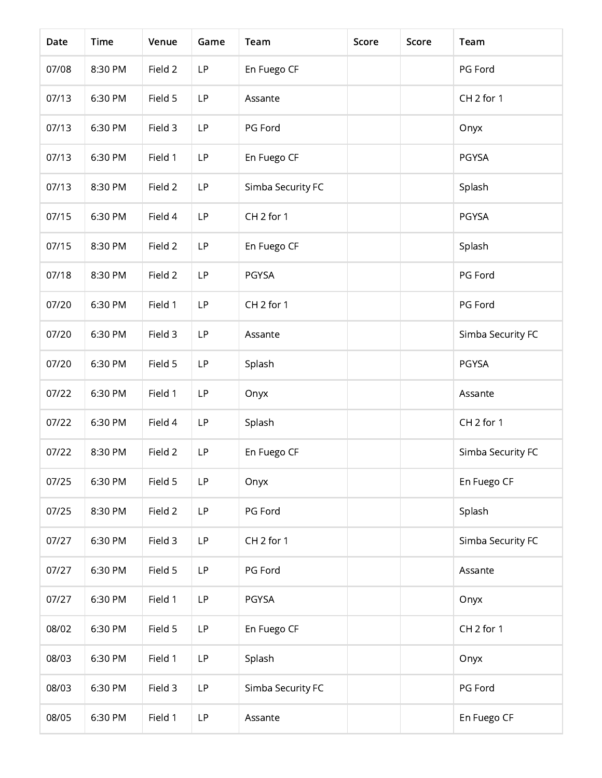| Date  | <b>Time</b> | Venue   | Game | Team                  | Score | Score | Team                  |
|-------|-------------|---------|------|-----------------------|-------|-------|-----------------------|
| 07/08 | 8:30 PM     | Field 2 | LP   | En Fuego CF           |       |       | PG Ford               |
| 07/13 | 6:30 PM     | Field 5 | LP   | Assante               |       |       | CH <sub>2</sub> for 1 |
| 07/13 | 6:30 PM     | Field 3 | LP   | PG Ford               |       |       | Onyx                  |
| 07/13 | 6:30 PM     | Field 1 | LP   | En Fuego CF           |       |       | <b>PGYSA</b>          |
| 07/13 | 8:30 PM     | Field 2 | LP   | Simba Security FC     |       |       | Splash                |
| 07/15 | 6:30 PM     | Field 4 | LP   | CH <sub>2</sub> for 1 |       |       | <b>PGYSA</b>          |
| 07/15 | 8:30 PM     | Field 2 | LP   | En Fuego CF           |       |       | Splash                |
| 07/18 | 8:30 PM     | Field 2 | LP   | PGYSA                 |       |       | PG Ford               |
| 07/20 | 6:30 PM     | Field 1 | LP   | CH <sub>2</sub> for 1 |       |       | PG Ford               |
| 07/20 | 6:30 PM     | Field 3 | LP   | Assante               |       |       | Simba Security FC     |
| 07/20 | 6:30 PM     | Field 5 | LP   | Splash                |       |       | <b>PGYSA</b>          |
| 07/22 | 6:30 PM     | Field 1 | LP   | Onyx                  |       |       | Assante               |
| 07/22 | 6:30 PM     | Field 4 | LP   | Splash                |       |       | CH 2 for 1            |
| 07/22 | 8:30 PM     | Field 2 | LP   | En Fuego CF           |       |       | Simba Security FC     |
| 07/25 | 6:30 PM     | Field 5 | LP   | Onyx                  |       |       | En Fuego CF           |
| 07/25 | 8:30 PM     | Field 2 | LP   | PG Ford               |       |       | Splash                |
| 07/27 | 6:30 PM     | Field 3 | LP   | CH 2 for 1            |       |       | Simba Security FC     |
| 07/27 | 6:30 PM     | Field 5 | LP   | PG Ford               |       |       | Assante               |
| 07/27 | 6:30 PM     | Field 1 | LP   | PGYSA                 |       |       | Onyx                  |
| 08/02 | 6:30 PM     | Field 5 | LP   | En Fuego CF           |       |       | CH 2 for 1            |
| 08/03 | 6:30 PM     | Field 1 | LP   | Splash                |       |       | Onyx                  |
| 08/03 | 6:30 PM     | Field 3 | LP   | Simba Security FC     |       |       | PG Ford               |
| 08/05 | 6:30 PM     | Field 1 | LP   | Assante               |       |       | En Fuego CF           |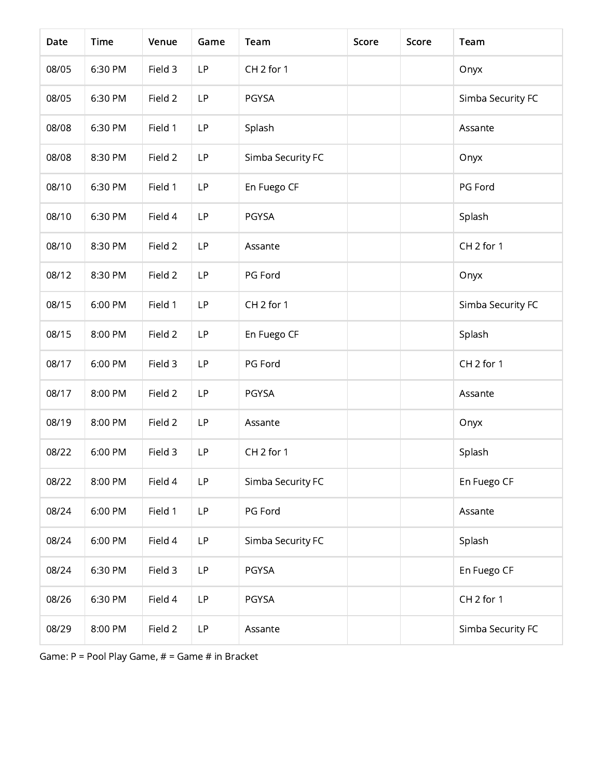| Date  | Time    | Venue   | Game | Team                  | Score | Score | Team                  |
|-------|---------|---------|------|-----------------------|-------|-------|-----------------------|
| 08/05 | 6:30 PM | Field 3 | LP   | CH <sub>2</sub> for 1 |       |       | Onyx                  |
| 08/05 | 6:30 PM | Field 2 | LP   | PGYSA                 |       |       | Simba Security FC     |
| 08/08 | 6:30 PM | Field 1 | LP   | Splash                |       |       | Assante               |
| 08/08 | 8:30 PM | Field 2 | LP   | Simba Security FC     |       |       | Onyx                  |
| 08/10 | 6:30 PM | Field 1 | LP   | En Fuego CF           |       |       | PG Ford               |
| 08/10 | 6:30 PM | Field 4 | LP   | <b>PGYSA</b>          |       |       | Splash                |
| 08/10 | 8:30 PM | Field 2 | LP   | Assante               |       |       | CH <sub>2</sub> for 1 |
| 08/12 | 8:30 PM | Field 2 | LP   | PG Ford               |       |       | Onyx                  |
| 08/15 | 6:00 PM | Field 1 | LP   | CH <sub>2</sub> for 1 |       |       | Simba Security FC     |
| 08/15 | 8:00 PM | Field 2 | LP   | En Fuego CF           |       |       | Splash                |
| 08/17 | 6:00 PM | Field 3 | LP   | PG Ford               |       |       | CH <sub>2</sub> for 1 |
| 08/17 | 8:00 PM | Field 2 | LP   | <b>PGYSA</b>          |       |       | Assante               |
| 08/19 | 8:00 PM | Field 2 | LP   | Assante               |       |       | Onyx                  |
| 08/22 | 6:00 PM | Field 3 | LP   | CH <sub>2</sub> for 1 |       |       | Splash                |
| 08/22 | 8:00 PM | Field 4 | LP   | Simba Security FC     |       |       | En Fuego CF           |
| 08/24 | 6:00 PM | Field 1 | LP   | PG Ford               |       |       | Assante               |
| 08/24 | 6:00 PM | Field 4 | LP   | Simba Security FC     |       |       | Splash                |
| 08/24 | 6:30 PM | Field 3 | LP   | PGYSA                 |       |       | En Fuego CF           |
| 08/26 | 6:30 PM | Field 4 | LP   | PGYSA                 |       |       | CH <sub>2</sub> for 1 |
| 08/29 | 8:00 PM | Field 2 | LP   | Assante               |       |       | Simba Security FC     |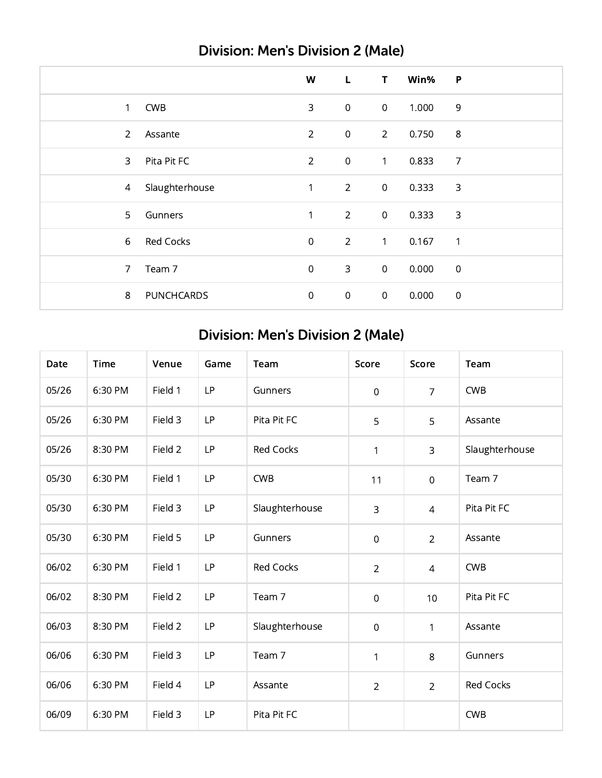|                |                   | W              | L.             | T                   | Win%  | $\, {\bf P}$     |
|----------------|-------------------|----------------|----------------|---------------------|-------|------------------|
| 1              | <b>CWB</b>        | 3              | $\,0\,$        | $\mathsf{O}\xspace$ | 1.000 | $\mathsf 9$      |
| $2^{\circ}$    | Assante           | $\overline{2}$ | $\overline{0}$ | $\overline{2}$      | 0.750 | $\,8\,$          |
| 3              | Pita Pit FC       | $\overline{2}$ | $\overline{0}$ | $\mathbf 1$         | 0.833 | $\overline{7}$   |
| 4              | Slaughterhouse    | $\mathbf{1}$   | $2^{\circ}$    | $\mathsf{O}$        | 0.333 | $\mathbf{3}$     |
| 5              | Gunners           | $\mathbf 1$    | $2^{\circ}$    | $\mathsf{O}$        | 0.333 | $\mathbf{3}$     |
| 6              | <b>Red Cocks</b>  | $\mathbf 0$    | $2^{\circ}$    | $\mathbf 1$         | 0.167 | $\overline{1}$   |
| $\overline{7}$ | Team 7            | $\mathbf 0$    | 3 <sup>1</sup> | $\overline{0}$      | 0.000 | $\overline{0}$   |
| 8              | <b>PUNCHCARDS</b> | $\mathbf 0$    | $\overline{0}$ | $\overline{0}$      | 0.000 | $\boldsymbol{0}$ |

### Division: Men's Division 2 (Male)

#### Division: Men's Division 2 (Male)

| Date  | <b>Time</b> | Venue   | Game      | Team             | Score               | Score            | Team           |
|-------|-------------|---------|-----------|------------------|---------------------|------------------|----------------|
| 05/26 | 6:30 PM     | Field 1 | LP        | Gunners          | $\mathsf{O}$        | $\overline{7}$   | <b>CWB</b>     |
| 05/26 | 6:30 PM     | Field 3 | LP        | Pita Pit FC      | 5                   | 5                | Assante        |
| 05/26 | 8:30 PM     | Field 2 | <b>LP</b> | <b>Red Cocks</b> | 1                   | 3                | Slaughterhouse |
| 05/30 | 6:30 PM     | Field 1 | <b>LP</b> | <b>CWB</b>       | 11                  | $\boldsymbol{0}$ | Team 7         |
| 05/30 | 6:30 PM     | Field 3 | <b>LP</b> | Slaughterhouse   | 3                   | $\overline{4}$   | Pita Pit FC    |
| 05/30 | 6:30 PM     | Field 5 | LP        | Gunners          | $\mathsf{O}\xspace$ | $\overline{2}$   | Assante        |
| 06/02 | 6:30 PM     | Field 1 | LP        | <b>Red Cocks</b> | $\overline{2}$      | $\overline{4}$   | <b>CWB</b>     |
| 06/02 | 8:30 PM     | Field 2 | LP        | Team 7           | $\mathsf{O}\xspace$ | 10               | Pita Pit FC    |
| 06/03 | 8:30 PM     | Field 2 | LP        | Slaughterhouse   | $\boldsymbol{0}$    | $\mathbf{1}$     | Assante        |
| 06/06 | 6:30 PM     | Field 3 | LP        | Team 7           | 1                   | 8                | Gunners        |
| 06/06 | 6:30 PM     | Field 4 | LP        | Assante          | $\overline{2}$      | $\overline{2}$   | Red Cocks      |
| 06/09 | 6:30 PM     | Field 3 | LP        | Pita Pit FC      |                     |                  | <b>CWB</b>     |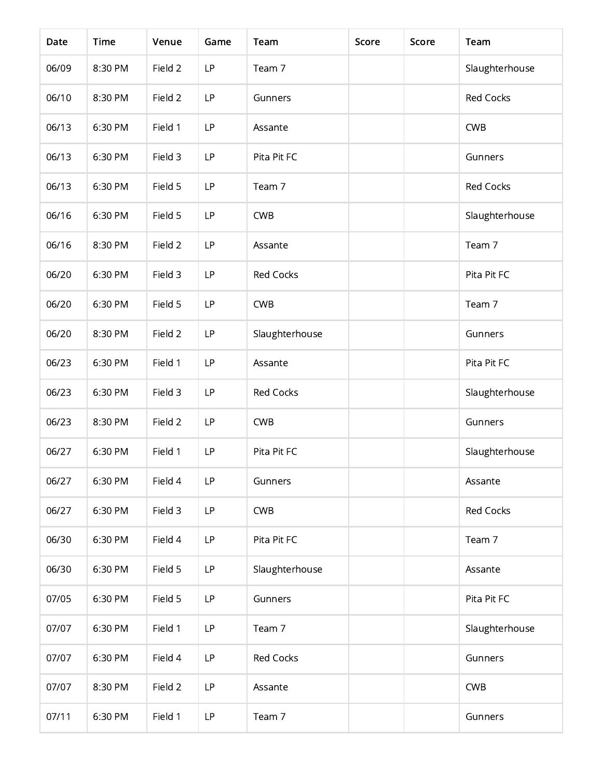| Date  | Time    | Venue   | Game | Team             | Score | Score | Team             |
|-------|---------|---------|------|------------------|-------|-------|------------------|
| 06/09 | 8:30 PM | Field 2 | LP   | Team 7           |       |       | Slaughterhouse   |
| 06/10 | 8:30 PM | Field 2 | LP   | Gunners          |       |       | <b>Red Cocks</b> |
| 06/13 | 6:30 PM | Field 1 | LP   | Assante          |       |       | <b>CWB</b>       |
| 06/13 | 6:30 PM | Field 3 | LP   | Pita Pit FC      |       |       | Gunners          |
| 06/13 | 6:30 PM | Field 5 | LP   | Team 7           |       |       | Red Cocks        |
| 06/16 | 6:30 PM | Field 5 | LP   | <b>CWB</b>       |       |       | Slaughterhouse   |
| 06/16 | 8:30 PM | Field 2 | LP   | Assante          |       |       | Team 7           |
| 06/20 | 6:30 PM | Field 3 | LP   | <b>Red Cocks</b> |       |       | Pita Pit FC      |
| 06/20 | 6:30 PM | Field 5 | LP   | <b>CWB</b>       |       |       | Team 7           |
| 06/20 | 8:30 PM | Field 2 | LP   | Slaughterhouse   |       |       | Gunners          |
| 06/23 | 6:30 PM | Field 1 | LP   | Assante          |       |       | Pita Pit FC      |
| 06/23 | 6:30 PM | Field 3 | LP   | Red Cocks        |       |       | Slaughterhouse   |
| 06/23 | 8:30 PM | Field 2 | LP   | <b>CWB</b>       |       |       | Gunners          |
| 06/27 | 6:30 PM | Field 1 | LP   | Pita Pit FC      |       |       | Slaughterhouse   |
| 06/27 | 6:30 PM | Field 4 | LP   | Gunners          |       |       | Assante          |
| 06/27 | 6:30 PM | Field 3 | LP   | <b>CWB</b>       |       |       | Red Cocks        |
| 06/30 | 6:30 PM | Field 4 | LP   | Pita Pit FC      |       |       | Team 7           |
| 06/30 | 6:30 PM | Field 5 | LP   | Slaughterhouse   |       |       | Assante          |
| 07/05 | 6:30 PM | Field 5 | LP   | Gunners          |       |       | Pita Pit FC      |
| 07/07 | 6:30 PM | Field 1 | LP   | Team 7           |       |       | Slaughterhouse   |
| 07/07 | 6:30 PM | Field 4 | LP   | Red Cocks        |       |       | Gunners          |
| 07/07 | 8:30 PM | Field 2 | LP   | Assante          |       |       | <b>CWB</b>       |
| 07/11 | 6:30 PM | Field 1 | LP   | Team 7           |       |       | Gunners          |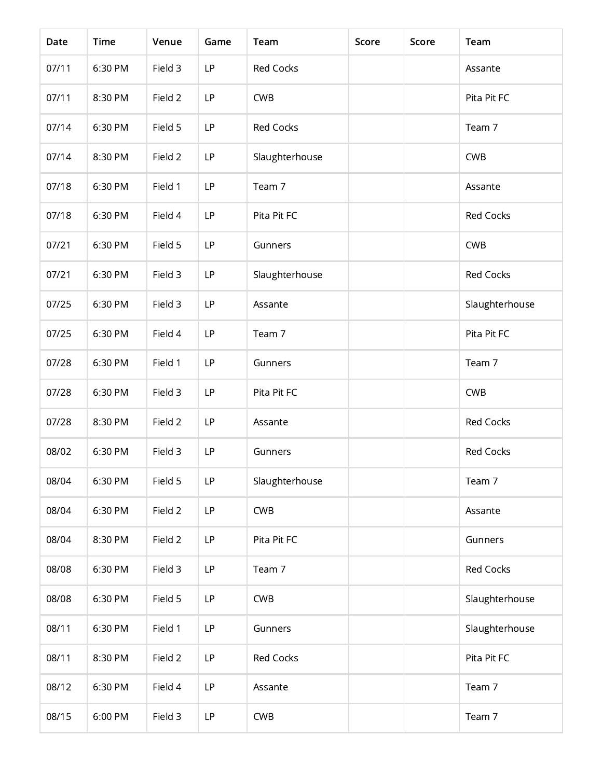| Date  | <b>Time</b> | Venue   | Game | Team             | Score | Score | Team             |
|-------|-------------|---------|------|------------------|-------|-------|------------------|
| 07/11 | 6:30 PM     | Field 3 | LP   | <b>Red Cocks</b> |       |       | Assante          |
| 07/11 | 8:30 PM     | Field 2 | LP   | <b>CWB</b>       |       |       | Pita Pit FC      |
| 07/14 | 6:30 PM     | Field 5 | LP   | Red Cocks        |       |       | Team 7           |
| 07/14 | 8:30 PM     | Field 2 | LP   | Slaughterhouse   |       |       | <b>CWB</b>       |
| 07/18 | 6:30 PM     | Field 1 | LP   | Team 7           |       |       | Assante          |
| 07/18 | 6:30 PM     | Field 4 | LP   | Pita Pit FC      |       |       | <b>Red Cocks</b> |
| 07/21 | 6:30 PM     | Field 5 | LP   | Gunners          |       |       | <b>CWB</b>       |
| 07/21 | 6:30 PM     | Field 3 | LP   | Slaughterhouse   |       |       | Red Cocks        |
| 07/25 | 6:30 PM     | Field 3 | LP   | Assante          |       |       | Slaughterhouse   |
| 07/25 | 6:30 PM     | Field 4 | LP   | Team 7           |       |       | Pita Pit FC      |
| 07/28 | 6:30 PM     | Field 1 | LP   | Gunners          |       |       | Team 7           |
| 07/28 | 6:30 PM     | Field 3 | LP   | Pita Pit FC      |       |       | <b>CWB</b>       |
| 07/28 | 8:30 PM     | Field 2 | LP   | Assante          |       |       | Red Cocks        |
| 08/02 | 6:30 PM     | Field 3 | LP   | Gunners          |       |       | Red Cocks        |
| 08/04 | 6:30 PM     | Field 5 | LP   | Slaughterhouse   |       |       | Team 7           |
| 08/04 | 6:30 PM     | Field 2 | LP   | <b>CWB</b>       |       |       | Assante          |
| 08/04 | 8:30 PM     | Field 2 | LP   | Pita Pit FC      |       |       | Gunners          |
| 08/08 | 6:30 PM     | Field 3 | LP   | Team 7           |       |       | Red Cocks        |
| 08/08 | 6:30 PM     | Field 5 | LP   | <b>CWB</b>       |       |       | Slaughterhouse   |
| 08/11 | 6:30 PM     | Field 1 | LP   | Gunners          |       |       | Slaughterhouse   |
| 08/11 | 8:30 PM     | Field 2 | LP   | Red Cocks        |       |       | Pita Pit FC      |
| 08/12 | 6:30 PM     | Field 4 | LP   | Assante          |       |       | Team 7           |
| 08/15 | 6:00 PM     | Field 3 | LP   | <b>CWB</b>       |       |       | Team 7           |